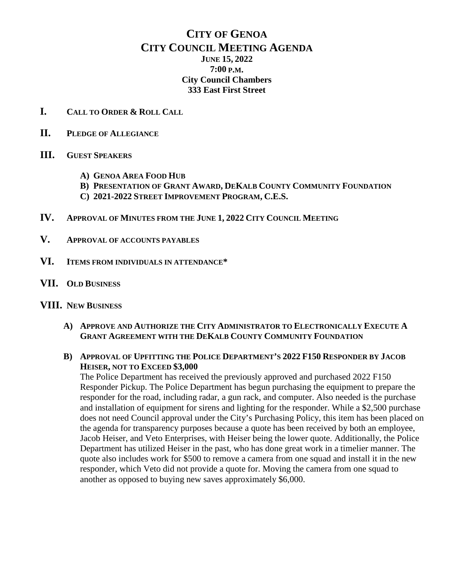# **CITY OF GENOA CITY COUNCIL MEETING AGENDA JUNE 15, 2022 7:00 P.M. City Council Chambers 333 East First Street**

- **I. CALL TO ORDER & ROLL CALL**
- **II. PLEDGE OF ALLEGIANCE**
- **III. GUEST SPEAKERS**
	- **A) GENOA AREA FOOD HUB**
	- **B) PRESENTATION OF GRANT AWARD, DEKALB COUNTY COMMUNITY FOUNDATION**
	- **C) 2021-2022 STREET IMPROVEMENT PROGRAM, C.E.S.**
- **IV. APPROVAL OF MINUTES FROM THE JUNE 1, 2022 CITY COUNCIL MEETING**
- **V. APPROVAL OF ACCOUNTS PAYABLES**
- **VI. ITEMS FROM INDIVIDUALS IN ATTENDANCE\***
- **VII. OLD BUSINESS**

#### **VIII. NEW BUSINESS**

- **A) APPROVE AND AUTHORIZE THE CITY ADMINISTRATOR TO ELECTRONICALLY EXECUTE A GRANT AGREEMENT WITH THE DEKALB COUNTY COMMUNITY FOUNDATION**
- **B) APPROVAL OF UPFITTING THE POLICE DEPARTMENT'S 2022 F150 RESPONDER BY JACOB HEISER, NOT TO EXCEED \$3,000**

The Police Department has received the previously approved and purchased 2022 F150 Responder Pickup. The Police Department has begun purchasing the equipment to prepare the responder for the road, including radar, a gun rack, and computer. Also needed is the purchase and installation of equipment for sirens and lighting for the responder. While a \$2,500 purchase does not need Council approval under the City's Purchasing Policy, this item has been placed on the agenda for transparency purposes because a quote has been received by both an employee, Jacob Heiser, and Veto Enterprises, with Heiser being the lower quote. Additionally, the Police Department has utilized Heiser in the past, who has done great work in a timelier manner. The quote also includes work for \$500 to remove a camera from one squad and install it in the new responder, which Veto did not provide a quote for. Moving the camera from one squad to another as opposed to buying new saves approximately \$6,000.